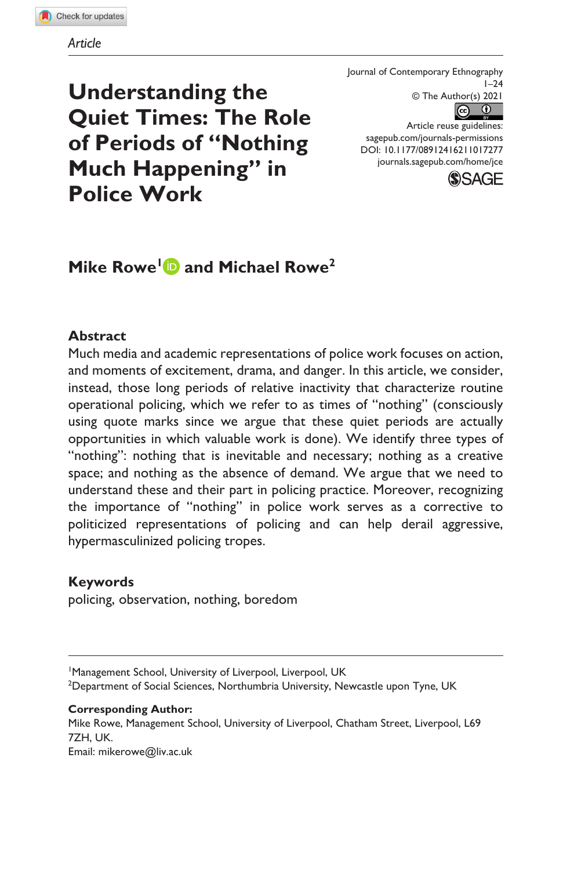**Understanding the Quiet Times: The Role of Periods of "Nothing Much Happening" in Police Work**

Journal of Contemporary Ethnography  $1 - 24$ © The Author(s) 2021  $\odot$   $\odot$ 

https://doi.org/10.1177/08912416211017277 [sagepub.com/journals-permissions](https://us.sagepub.com/en-us/journals-permissions) DOI: 10.1177/08912416211017277 Article reuse guidelines: [journals.sagepub.com/home/jce](https://journals.sagepub.com/home/jce)



# **Mike Rowe<sup>1</sup> and Michael Rowe<sup>2</sup>**

#### **Abstract**

Much media and academic representations of police work focuses on action, and moments of excitement, drama, and danger. In this article, we consider, instead, those long periods of relative inactivity that characterize routine operational policing, which we refer to as times of "nothing" (consciously using quote marks since we argue that these quiet periods are actually opportunities in which valuable work is done). We identify three types of "nothing": nothing that is inevitable and necessary; nothing as a creative space; and nothing as the absence of demand. We argue that we need to understand these and their part in policing practice. Moreover, recognizing the importance of "nothing" in police work serves as a corrective to politicized representations of policing and can help derail aggressive, hypermasculinized policing tropes.

#### **Keywords**

policing, observation, nothing, boredom

#### **Corresponding Author:**

Mike Rowe, Management School, University of Liverpool, Chatham Street, Liverpool, L69 7ZH, UK.

Email: [mikerowe@liv.ac.uk](mailto:mikerowe@liv.ac.uk)

<sup>&</sup>lt;sup>1</sup>Management School, University of Liverpool, Liverpool, UK <sup>2</sup>Department of Social Sciences, Northumbria University, Newcastle upon Tyne, UK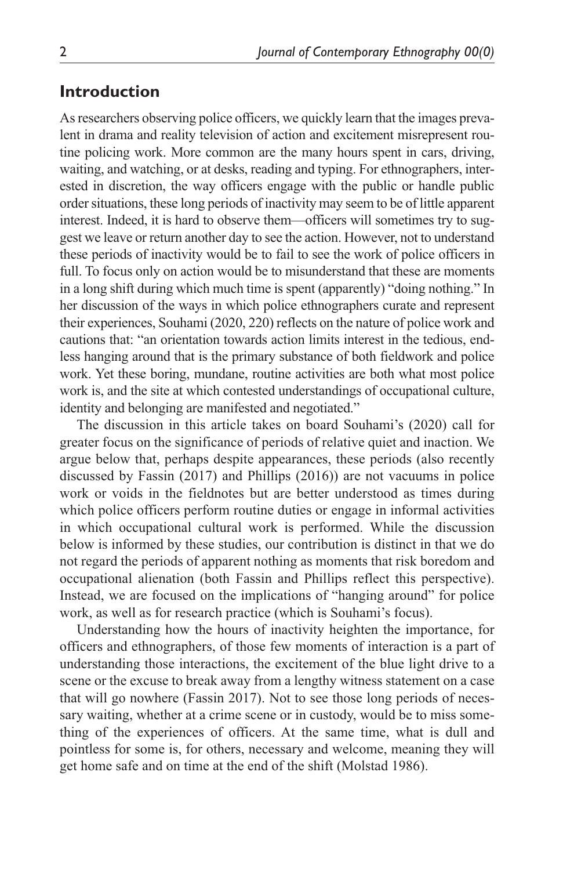### **Introduction**

As researchers observing police officers, we quickly learn that the images prevalent in drama and reality television of action and excitement misrepresent routine policing work. More common are the many hours spent in cars, driving, waiting, and watching, or at desks, reading and typing. For ethnographers, interested in discretion, the way officers engage with the public or handle public order situations, these long periods of inactivity may seem to be of little apparent interest. Indeed, it is hard to observe them—officers will sometimes try to suggest we leave or return another day to see the action. However, not to understand these periods of inactivity would be to fail to see the work of police officers in full. To focus only on action would be to misunderstand that these are moments in a long shift during which much time is spent (apparently) "doing nothing." In her discussion of the ways in which police ethnographers curate and represent their experiences, Souhami (2020, 220) reflects on the nature of police work and cautions that: "an orientation towards action limits interest in the tedious, endless hanging around that is the primary substance of both fieldwork and police work. Yet these boring, mundane, routine activities are both what most police work is, and the site at which contested understandings of occupational culture, identity and belonging are manifested and negotiated."

The discussion in this article takes on board Souhami's (2020) call for greater focus on the significance of periods of relative quiet and inaction. We argue below that, perhaps despite appearances, these periods (also recently discussed by Fassin (2017) and Phillips (2016)) are not vacuums in police work or voids in the fieldnotes but are better understood as times during which police officers perform routine duties or engage in informal activities in which occupational cultural work is performed. While the discussion below is informed by these studies, our contribution is distinct in that we do not regard the periods of apparent nothing as moments that risk boredom and occupational alienation (both Fassin and Phillips reflect this perspective). Instead, we are focused on the implications of "hanging around" for police work, as well as for research practice (which is Souhami's focus).

Understanding how the hours of inactivity heighten the importance, for officers and ethnographers, of those few moments of interaction is a part of understanding those interactions, the excitement of the blue light drive to a scene or the excuse to break away from a lengthy witness statement on a case that will go nowhere (Fassin 2017). Not to see those long periods of necessary waiting, whether at a crime scene or in custody, would be to miss something of the experiences of officers. At the same time, what is dull and pointless for some is, for others, necessary and welcome, meaning they will get home safe and on time at the end of the shift (Molstad 1986).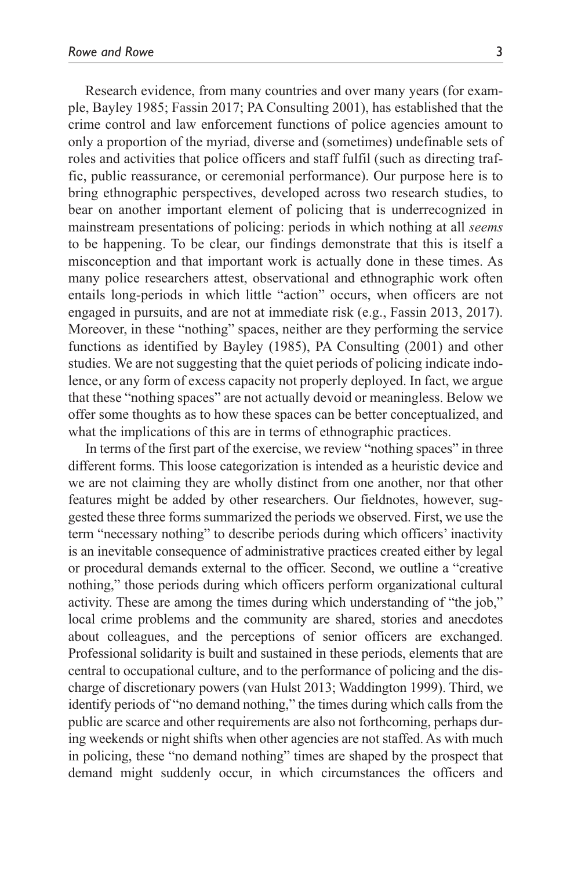Research evidence, from many countries and over many years (for example, Bayley 1985; Fassin 2017; PA Consulting 2001), has established that the crime control and law enforcement functions of police agencies amount to only a proportion of the myriad, diverse and (sometimes) undefinable sets of roles and activities that police officers and staff fulfil (such as directing traffic, public reassurance, or ceremonial performance). Our purpose here is to bring ethnographic perspectives, developed across two research studies, to bear on another important element of policing that is underrecognized in mainstream presentations of policing: periods in which nothing at all *seems* to be happening. To be clear, our findings demonstrate that this is itself a misconception and that important work is actually done in these times. As many police researchers attest, observational and ethnographic work often entails long-periods in which little "action" occurs, when officers are not engaged in pursuits, and are not at immediate risk (e.g., Fassin 2013, 2017). Moreover, in these "nothing" spaces, neither are they performing the service functions as identified by Bayley (1985), PA Consulting (2001) and other studies. We are not suggesting that the quiet periods of policing indicate indolence, or any form of excess capacity not properly deployed. In fact, we argue that these "nothing spaces" are not actually devoid or meaningless. Below we offer some thoughts as to how these spaces can be better conceptualized, and what the implications of this are in terms of ethnographic practices.

In terms of the first part of the exercise, we review "nothing spaces" in three different forms. This loose categorization is intended as a heuristic device and we are not claiming they are wholly distinct from one another, nor that other features might be added by other researchers. Our fieldnotes, however, suggested these three forms summarized the periods we observed. First, we use the term "necessary nothing" to describe periods during which officers' inactivity is an inevitable consequence of administrative practices created either by legal or procedural demands external to the officer. Second, we outline a "creative nothing," those periods during which officers perform organizational cultural activity. These are among the times during which understanding of "the job," local crime problems and the community are shared, stories and anecdotes about colleagues, and the perceptions of senior officers are exchanged. Professional solidarity is built and sustained in these periods, elements that are central to occupational culture, and to the performance of policing and the discharge of discretionary powers (van Hulst 2013; Waddington 1999). Third, we identify periods of "no demand nothing," the times during which calls from the public are scarce and other requirements are also not forthcoming, perhaps during weekends or night shifts when other agencies are not staffed. As with much in policing, these "no demand nothing" times are shaped by the prospect that demand might suddenly occur, in which circumstances the officers and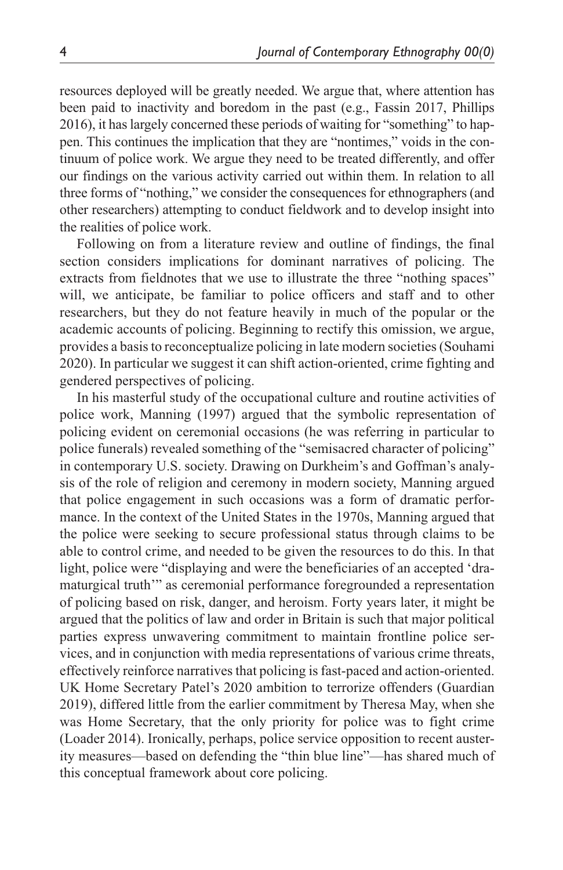resources deployed will be greatly needed. We argue that, where attention has been paid to inactivity and boredom in the past (e.g., Fassin 2017, Phillips 2016), it has largely concerned these periods of waiting for "something" to happen. This continues the implication that they are "nontimes," voids in the continuum of police work. We argue they need to be treated differently, and offer our findings on the various activity carried out within them. In relation to all three forms of "nothing," we consider the consequences for ethnographers (and other researchers) attempting to conduct fieldwork and to develop insight into the realities of police work.

Following on from a literature review and outline of findings, the final section considers implications for dominant narratives of policing. The extracts from fieldnotes that we use to illustrate the three "nothing spaces" will, we anticipate, be familiar to police officers and staff and to other researchers, but they do not feature heavily in much of the popular or the academic accounts of policing. Beginning to rectify this omission, we argue, provides a basis to reconceptualize policing in late modern societies (Souhami 2020). In particular we suggest it can shift action-oriented, crime fighting and gendered perspectives of policing.

In his masterful study of the occupational culture and routine activities of police work, Manning (1997) argued that the symbolic representation of policing evident on ceremonial occasions (he was referring in particular to police funerals) revealed something of the "semisacred character of policing" in contemporary U.S. society. Drawing on Durkheim's and Goffman's analysis of the role of religion and ceremony in modern society, Manning argued that police engagement in such occasions was a form of dramatic performance. In the context of the United States in the 1970s, Manning argued that the police were seeking to secure professional status through claims to be able to control crime, and needed to be given the resources to do this. In that light, police were "displaying and were the beneficiaries of an accepted 'dramaturgical truth'" as ceremonial performance foregrounded a representation of policing based on risk, danger, and heroism. Forty years later, it might be argued that the politics of law and order in Britain is such that major political parties express unwavering commitment to maintain frontline police services, and in conjunction with media representations of various crime threats, effectively reinforce narratives that policing is fast-paced and action-oriented. UK Home Secretary Patel's 2020 ambition to terrorize offenders (Guardian 2019), differed little from the earlier commitment by Theresa May, when she was Home Secretary, that the only priority for police was to fight crime (Loader 2014). Ironically, perhaps, police service opposition to recent austerity measures—based on defending the "thin blue line"—has shared much of this conceptual framework about core policing.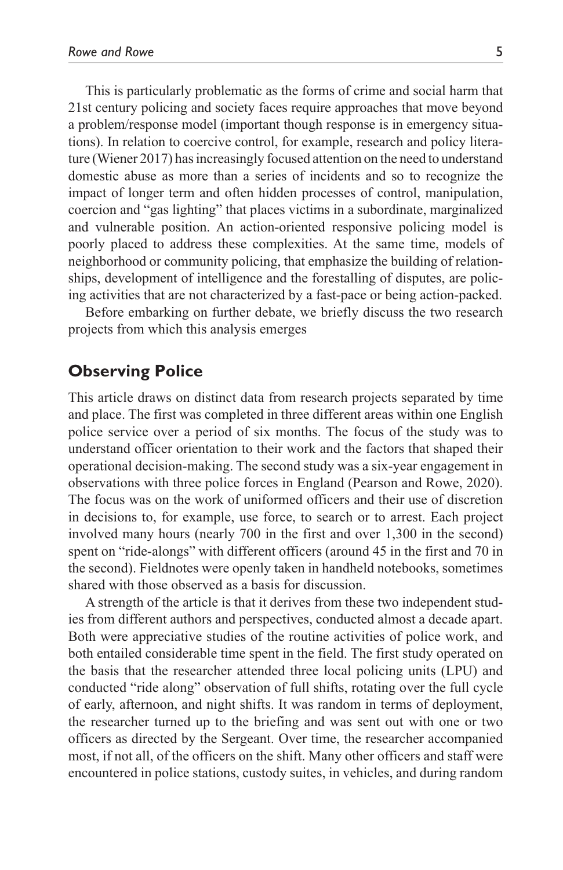This is particularly problematic as the forms of crime and social harm that 21st century policing and society faces require approaches that move beyond a problem/response model (important though response is in emergency situations). In relation to coercive control, for example, research and policy literature (Wiener 2017) has increasingly focused attention on the need to understand domestic abuse as more than a series of incidents and so to recognize the impact of longer term and often hidden processes of control, manipulation, coercion and "gas lighting" that places victims in a subordinate, marginalized and vulnerable position. An action-oriented responsive policing model is poorly placed to address these complexities. At the same time, models of neighborhood or community policing, that emphasize the building of relationships, development of intelligence and the forestalling of disputes, are policing activities that are not characterized by a fast-pace or being action-packed.

Before embarking on further debate, we briefly discuss the two research projects from which this analysis emerges

#### **Observing Police**

This article draws on distinct data from research projects separated by time and place. The first was completed in three different areas within one English police service over a period of six months. The focus of the study was to understand officer orientation to their work and the factors that shaped their operational decision-making. The second study was a six-year engagement in observations with three police forces in England (Pearson and Rowe, 2020). The focus was on the work of uniformed officers and their use of discretion in decisions to, for example, use force, to search or to arrest. Each project involved many hours (nearly 700 in the first and over 1,300 in the second) spent on "ride-alongs" with different officers (around 45 in the first and 70 in the second). Fieldnotes were openly taken in handheld notebooks, sometimes shared with those observed as a basis for discussion.

A strength of the article is that it derives from these two independent studies from different authors and perspectives, conducted almost a decade apart. Both were appreciative studies of the routine activities of police work, and both entailed considerable time spent in the field. The first study operated on the basis that the researcher attended three local policing units (LPU) and conducted "ride along" observation of full shifts, rotating over the full cycle of early, afternoon, and night shifts. It was random in terms of deployment, the researcher turned up to the briefing and was sent out with one or two officers as directed by the Sergeant. Over time, the researcher accompanied most, if not all, of the officers on the shift. Many other officers and staff were encountered in police stations, custody suites, in vehicles, and during random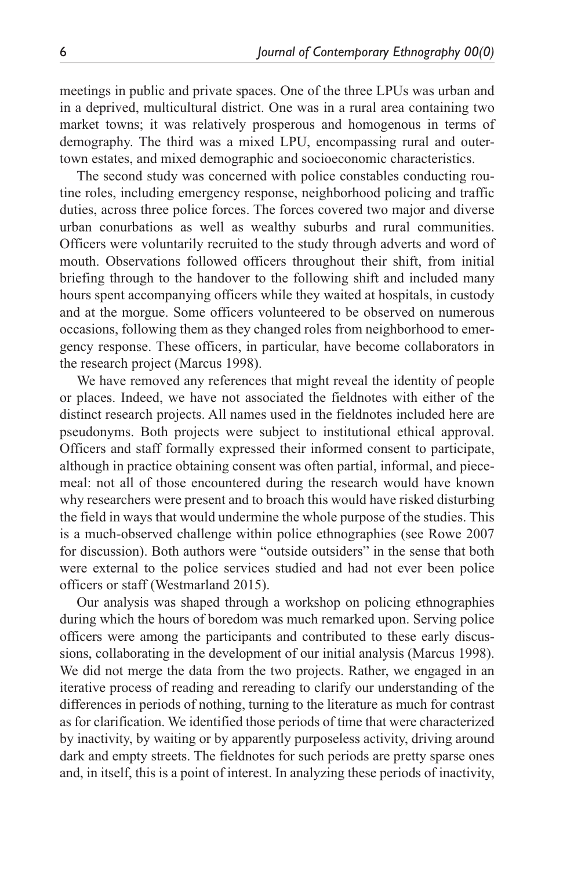meetings in public and private spaces. One of the three LPUs was urban and in a deprived, multicultural district. One was in a rural area containing two market towns; it was relatively prosperous and homogenous in terms of demography. The third was a mixed LPU, encompassing rural and outertown estates, and mixed demographic and socioeconomic characteristics.

The second study was concerned with police constables conducting routine roles, including emergency response, neighborhood policing and traffic duties, across three police forces. The forces covered two major and diverse urban conurbations as well as wealthy suburbs and rural communities. Officers were voluntarily recruited to the study through adverts and word of mouth. Observations followed officers throughout their shift, from initial briefing through to the handover to the following shift and included many hours spent accompanying officers while they waited at hospitals, in custody and at the morgue. Some officers volunteered to be observed on numerous occasions, following them as they changed roles from neighborhood to emergency response. These officers, in particular, have become collaborators in the research project (Marcus 1998).

We have removed any references that might reveal the identity of people or places. Indeed, we have not associated the fieldnotes with either of the distinct research projects. All names used in the fieldnotes included here are pseudonyms. Both projects were subject to institutional ethical approval. Officers and staff formally expressed their informed consent to participate, although in practice obtaining consent was often partial, informal, and piecemeal: not all of those encountered during the research would have known why researchers were present and to broach this would have risked disturbing the field in ways that would undermine the whole purpose of the studies. This is a much-observed challenge within police ethnographies (see Rowe 2007 for discussion). Both authors were "outside outsiders" in the sense that both were external to the police services studied and had not ever been police officers or staff (Westmarland 2015).

Our analysis was shaped through a workshop on policing ethnographies during which the hours of boredom was much remarked upon. Serving police officers were among the participants and contributed to these early discussions, collaborating in the development of our initial analysis (Marcus 1998). We did not merge the data from the two projects. Rather, we engaged in an iterative process of reading and rereading to clarify our understanding of the differences in periods of nothing, turning to the literature as much for contrast as for clarification. We identified those periods of time that were characterized by inactivity, by waiting or by apparently purposeless activity, driving around dark and empty streets. The fieldnotes for such periods are pretty sparse ones and, in itself, this is a point of interest. In analyzing these periods of inactivity,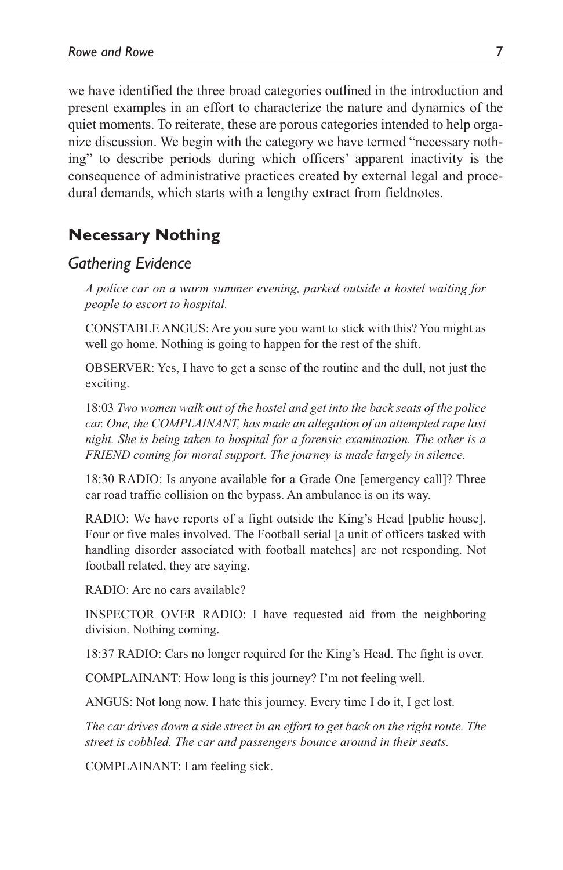we have identified the three broad categories outlined in the introduction and present examples in an effort to characterize the nature and dynamics of the quiet moments. To reiterate, these are porous categories intended to help organize discussion. We begin with the category we have termed "necessary nothing" to describe periods during which officers' apparent inactivity is the consequence of administrative practices created by external legal and procedural demands, which starts with a lengthy extract from fieldnotes.

### **Necessary Nothing**

#### *Gathering Evidence*

*A police car on a warm summer evening, parked outside a hostel waiting for people to escort to hospital.*

CONSTABLE ANGUS: Are you sure you want to stick with this? You might as well go home. Nothing is going to happen for the rest of the shift.

OBSERVER: Yes, I have to get a sense of the routine and the dull, not just the exciting.

18:03 *Two women walk out of the hostel and get into the back seats of the police car. One, the COMPLAINANT, has made an allegation of an attempted rape last night. She is being taken to hospital for a forensic examination. The other is a FRIEND coming for moral support. The journey is made largely in silence.*

18:30 RADIO: Is anyone available for a Grade One [emergency call]? Three car road traffic collision on the bypass. An ambulance is on its way.

RADIO: We have reports of a fight outside the King's Head [public house]. Four or five males involved. The Football serial [a unit of officers tasked with handling disorder associated with football matches] are not responding. Not football related, they are saying.

RADIO: Are no cars available?

INSPECTOR OVER RADIO: I have requested aid from the neighboring division. Nothing coming.

18:37 RADIO: Cars no longer required for the King's Head. The fight is over.

COMPLAINANT: How long is this journey? I'm not feeling well.

ANGUS: Not long now. I hate this journey. Every time I do it, I get lost.

*The car drives down a side street in an effort to get back on the right route. The street is cobbled. The car and passengers bounce around in their seats.*

COMPLAINANT: I am feeling sick.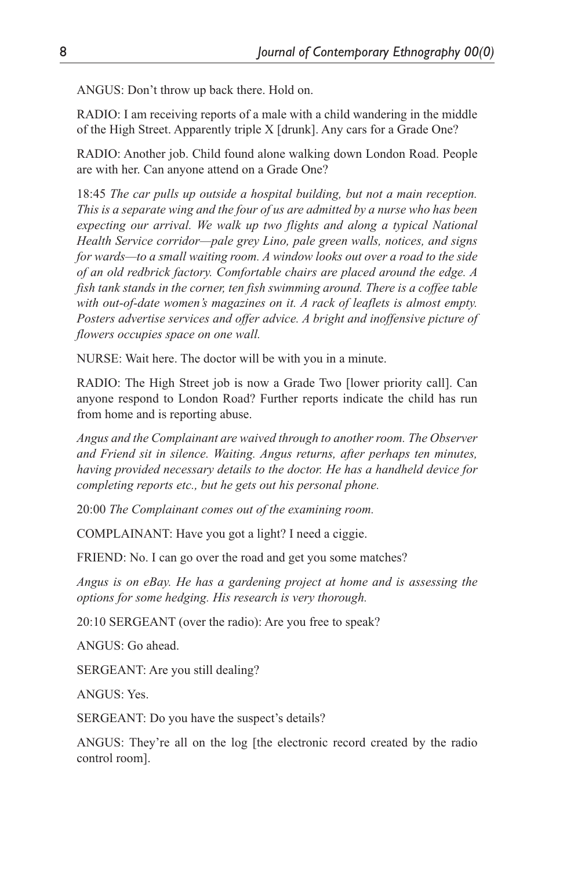ANGUS: Don't throw up back there. Hold on.

RADIO: I am receiving reports of a male with a child wandering in the middle of the High Street. Apparently triple X [drunk]. Any cars for a Grade One?

RADIO: Another job. Child found alone walking down London Road. People are with her. Can anyone attend on a Grade One?

18:45 *The car pulls up outside a hospital building, but not a main reception. This is a separate wing and the four of us are admitted by a nurse who has been expecting our arrival. We walk up two flights and along a typical National Health Service corridor—pale grey Lino, pale green walls, notices, and signs for wards—to a small waiting room. A window looks out over a road to the side of an old redbrick factory. Comfortable chairs are placed around the edge. A fish tank stands in the corner, ten fish swimming around. There is a coffee table with out-of-date women's magazines on it. A rack of leaflets is almost empty. Posters advertise services and offer advice. A bright and inoffensive picture of flowers occupies space on one wall.*

NURSE: Wait here. The doctor will be with you in a minute.

RADIO: The High Street job is now a Grade Two [lower priority call]. Can anyone respond to London Road? Further reports indicate the child has run from home and is reporting abuse.

*Angus and the Complainant are waived through to another room. The Observer and Friend sit in silence. Waiting. Angus returns, after perhaps ten minutes, having provided necessary details to the doctor. He has a handheld device for completing reports etc., but he gets out his personal phone.*

20:00 *The Complainant comes out of the examining room.*

COMPLAINANT: Have you got a light? I need a ciggie.

FRIEND: No. I can go over the road and get you some matches?

*Angus is on eBay. He has a gardening project at home and is assessing the options for some hedging. His research is very thorough.*

20:10 SERGEANT (over the radio): Are you free to speak?

ANGUS: Go ahead.

SERGEANT: Are you still dealing?

ANGUS: Yes.

SERGEANT: Do you have the suspect's details?

ANGUS: They're all on the log [the electronic record created by the radio control room].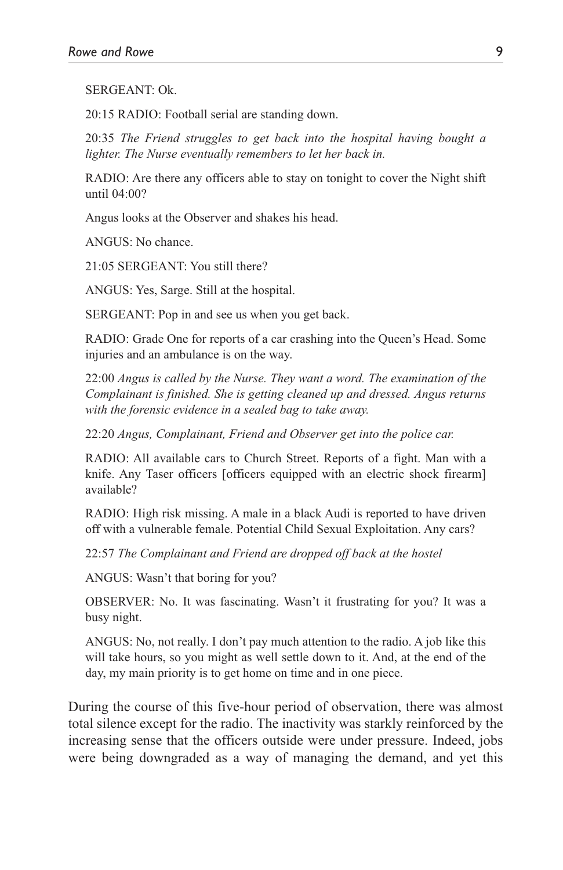SERGEANT: Ok.

20:15 RADIO: Football serial are standing down.

20:35 *The Friend struggles to get back into the hospital having bought a lighter. The Nurse eventually remembers to let her back in.*

RADIO: Are there any officers able to stay on tonight to cover the Night shift until 04:00?

Angus looks at the Observer and shakes his head.

ANGUS: No chance.

21:05 SERGEANT: You still there?

ANGUS: Yes, Sarge. Still at the hospital.

SERGEANT: Pop in and see us when you get back.

RADIO: Grade One for reports of a car crashing into the Queen's Head. Some injuries and an ambulance is on the way.

22:00 *Angus is called by the Nurse. They want a word. The examination of the Complainant is finished. She is getting cleaned up and dressed. Angus returns with the forensic evidence in a sealed bag to take away.*

22:20 *Angus, Complainant, Friend and Observer get into the police car.*

RADIO: All available cars to Church Street. Reports of a fight. Man with a knife. Any Taser officers [officers equipped with an electric shock firearm] available?

RADIO: High risk missing. A male in a black Audi is reported to have driven off with a vulnerable female. Potential Child Sexual Exploitation. Any cars?

22:57 *The Complainant and Friend are dropped off back at the hostel*

ANGUS: Wasn't that boring for you?

OBSERVER: No. It was fascinating. Wasn't it frustrating for you? It was a busy night.

ANGUS: No, not really. I don't pay much attention to the radio. A job like this will take hours, so you might as well settle down to it. And, at the end of the day, my main priority is to get home on time and in one piece.

During the course of this five-hour period of observation, there was almost total silence except for the radio. The inactivity was starkly reinforced by the increasing sense that the officers outside were under pressure. Indeed, jobs were being downgraded as a way of managing the demand, and yet this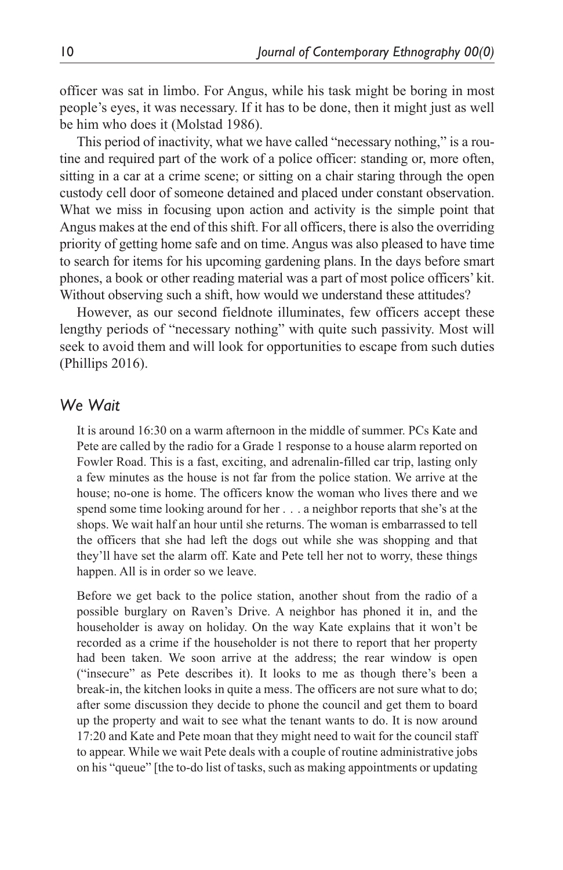officer was sat in limbo. For Angus, while his task might be boring in most people's eyes, it was necessary. If it has to be done, then it might just as well be him who does it (Molstad 1986).

This period of inactivity, what we have called "necessary nothing," is a routine and required part of the work of a police officer: standing or, more often, sitting in a car at a crime scene; or sitting on a chair staring through the open custody cell door of someone detained and placed under constant observation. What we miss in focusing upon action and activity is the simple point that Angus makes at the end of this shift. For all officers, there is also the overriding priority of getting home safe and on time. Angus was also pleased to have time to search for items for his upcoming gardening plans. In the days before smart phones, a book or other reading material was a part of most police officers' kit. Without observing such a shift, how would we understand these attitudes?

However, as our second fieldnote illuminates, few officers accept these lengthy periods of "necessary nothing" with quite such passivity. Most will seek to avoid them and will look for opportunities to escape from such duties (Phillips 2016).

#### *We Wait*

It is around 16:30 on a warm afternoon in the middle of summer. PCs Kate and Pete are called by the radio for a Grade 1 response to a house alarm reported on Fowler Road. This is a fast, exciting, and adrenalin-filled car trip, lasting only a few minutes as the house is not far from the police station. We arrive at the house; no-one is home. The officers know the woman who lives there and we spend some time looking around for her . . . a neighbor reports that she's at the shops. We wait half an hour until she returns. The woman is embarrassed to tell the officers that she had left the dogs out while she was shopping and that they'll have set the alarm off. Kate and Pete tell her not to worry, these things happen. All is in order so we leave.

Before we get back to the police station, another shout from the radio of a possible burglary on Raven's Drive. A neighbor has phoned it in, and the householder is away on holiday. On the way Kate explains that it won't be recorded as a crime if the householder is not there to report that her property had been taken. We soon arrive at the address; the rear window is open ("insecure" as Pete describes it). It looks to me as though there's been a break-in, the kitchen looks in quite a mess. The officers are not sure what to do; after some discussion they decide to phone the council and get them to board up the property and wait to see what the tenant wants to do. It is now around 17:20 and Kate and Pete moan that they might need to wait for the council staff to appear. While we wait Pete deals with a couple of routine administrative jobs on his "queue" [the to-do list of tasks, such as making appointments or updating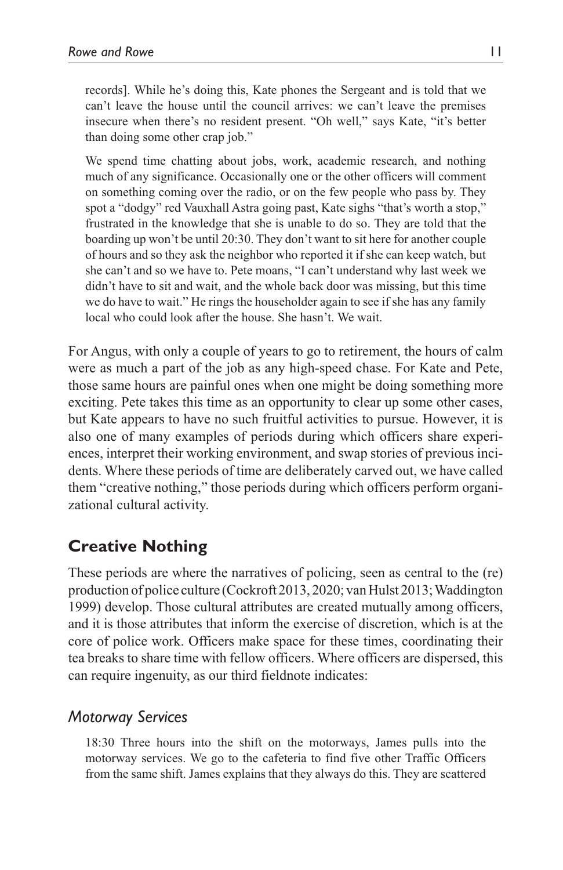records]. While he's doing this, Kate phones the Sergeant and is told that we can't leave the house until the council arrives: we can't leave the premises insecure when there's no resident present. "Oh well," says Kate, "it's better than doing some other crap job."

We spend time chatting about jobs, work, academic research, and nothing much of any significance. Occasionally one or the other officers will comment on something coming over the radio, or on the few people who pass by. They spot a "dodgy" red Vauxhall Astra going past, Kate sighs "that's worth a stop," frustrated in the knowledge that she is unable to do so. They are told that the boarding up won't be until 20:30. They don't want to sit here for another couple of hours and so they ask the neighbor who reported it if she can keep watch, but she can't and so we have to. Pete moans, "I can't understand why last week we didn't have to sit and wait, and the whole back door was missing, but this time we do have to wait." He rings the householder again to see if she has any family local who could look after the house. She hasn't. We wait.

For Angus, with only a couple of years to go to retirement, the hours of calm were as much a part of the job as any high-speed chase. For Kate and Pete, those same hours are painful ones when one might be doing something more exciting. Pete takes this time as an opportunity to clear up some other cases, but Kate appears to have no such fruitful activities to pursue. However, it is also one of many examples of periods during which officers share experiences, interpret their working environment, and swap stories of previous incidents. Where these periods of time are deliberately carved out, we have called them "creative nothing," those periods during which officers perform organizational cultural activity.

## **Creative Nothing**

These periods are where the narratives of policing, seen as central to the (re) production of police culture (Cockroft 2013, 2020; van Hulst 2013; Waddington 1999) develop. Those cultural attributes are created mutually among officers, and it is those attributes that inform the exercise of discretion, which is at the core of police work. Officers make space for these times, coordinating their tea breaks to share time with fellow officers. Where officers are dispersed, this can require ingenuity, as our third fieldnote indicates:

#### *Motorway Services*

18:30 Three hours into the shift on the motorways, James pulls into the motorway services. We go to the cafeteria to find five other Traffic Officers from the same shift. James explains that they always do this. They are scattered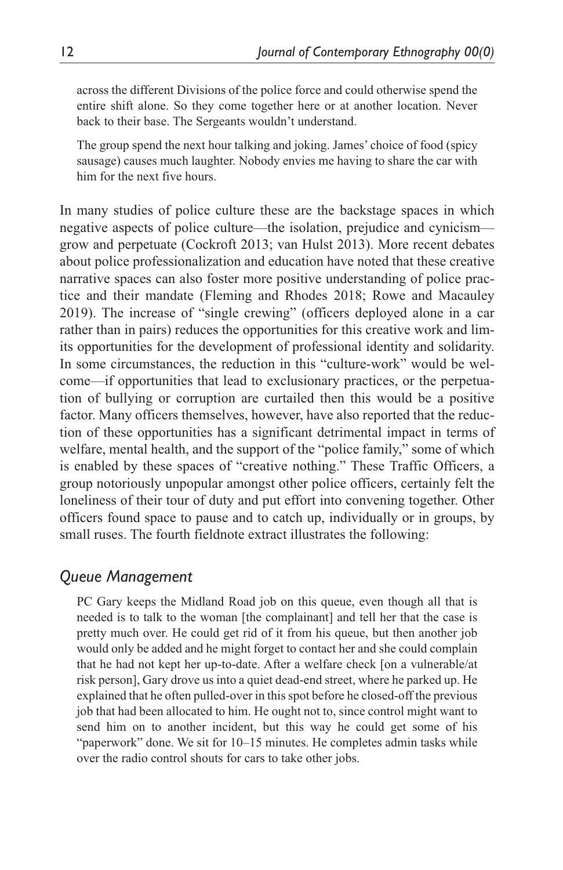across the different Divisions of the police force and could otherwise spend the entire shift alone. So they come together here or at another location. Never back to their base. The Sergeants wouldn't understand.

The group spend the next hour talking and joking. James' choice of food (spicy sausage) causes much laughter. Nobody envies me having to share the car with him for the next five hours.

In many studies of police culture these are the backstage spaces in which negative aspects of police culture—the isolation, prejudice and cynicism grow and perpetuate (Cockroft 2013; van Hulst 2013). More recent debates about police professionalization and education have noted that these creative narrative spaces can also foster more positive understanding of police practice and their mandate (Fleming and Rhodes 2018; Rowe and Macauley 2019). The increase of "single crewing" (officers deployed alone in a car rather than in pairs) reduces the opportunities for this creative work and limits opportunities for the development of professional identity and solidarity. In some circumstances, the reduction in this "culture-work" would be welcome—if opportunities that lead to exclusionary practices, or the perpetuation of bullying or corruption are curtailed then this would be a positive factor. Many officers themselves, however, have also reported that the reduction of these opportunities has a significant detrimental impact in terms of welfare, mental health, and the support of the "police family," some of which is enabled by these spaces of "creative nothing." These Traffic Officers, a group notoriously unpopular amongst other police officers, certainly felt the loneliness of their tour of duty and put effort into convening together. Other officers found space to pause and to catch up, individually or in groups, by small ruses. The fourth fieldnote extract illustrates the following:

### *Queue Management*

PC Gary keeps the Midland Road job on this queue, even though all that is needed is to talk to the woman [the complainant] and tell her that the case is pretty much over. He could get rid of it from his queue, but then another job would only be added and he might forget to contact her and she could complain that he had not kept her up-to-date. After a welfare check [on a vulnerable/at risk person], Gary drove us into a quiet dead-end street, where he parked up. He explained that he often pulled-over in this spot before he closed-off the previous job that had been allocated to him. He ought not to, since control might want to send him on to another incident, but this way he could get some of his "paperwork" done. We sit for 10–15 minutes. He completes admin tasks while over the radio control shouts for cars to take other jobs.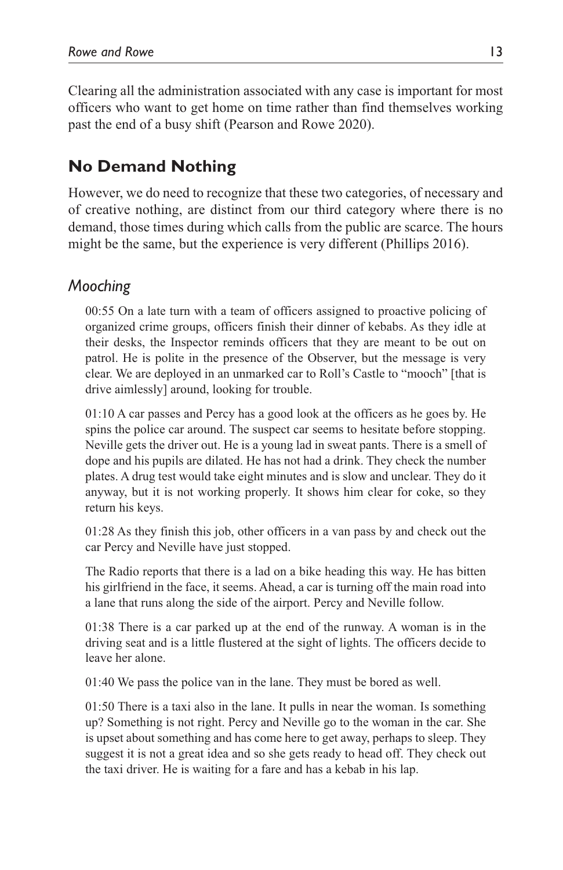Clearing all the administration associated with any case is important for most officers who want to get home on time rather than find themselves working past the end of a busy shift (Pearson and Rowe 2020).

# **No Demand Nothing**

However, we do need to recognize that these two categories, of necessary and of creative nothing, are distinct from our third category where there is no demand, those times during which calls from the public are scarce. The hours might be the same, but the experience is very different (Phillips 2016).

### *Mooching*

00:55 On a late turn with a team of officers assigned to proactive policing of organized crime groups, officers finish their dinner of kebabs. As they idle at their desks, the Inspector reminds officers that they are meant to be out on patrol. He is polite in the presence of the Observer, but the message is very clear. We are deployed in an unmarked car to Roll's Castle to "mooch" [that is drive aimlessly] around, looking for trouble.

01:10 A car passes and Percy has a good look at the officers as he goes by. He spins the police car around. The suspect car seems to hesitate before stopping. Neville gets the driver out. He is a young lad in sweat pants. There is a smell of dope and his pupils are dilated. He has not had a drink. They check the number plates. A drug test would take eight minutes and is slow and unclear. They do it anyway, but it is not working properly. It shows him clear for coke, so they return his keys.

01:28 As they finish this job, other officers in a van pass by and check out the car Percy and Neville have just stopped.

The Radio reports that there is a lad on a bike heading this way. He has bitten his girlfriend in the face, it seems. Ahead, a car is turning off the main road into a lane that runs along the side of the airport. Percy and Neville follow.

01:38 There is a car parked up at the end of the runway. A woman is in the driving seat and is a little flustered at the sight of lights. The officers decide to leave her alone.

01:40 We pass the police van in the lane. They must be bored as well.

01:50 There is a taxi also in the lane. It pulls in near the woman. Is something up? Something is not right. Percy and Neville go to the woman in the car. She is upset about something and has come here to get away, perhaps to sleep. They suggest it is not a great idea and so she gets ready to head off. They check out the taxi driver. He is waiting for a fare and has a kebab in his lap.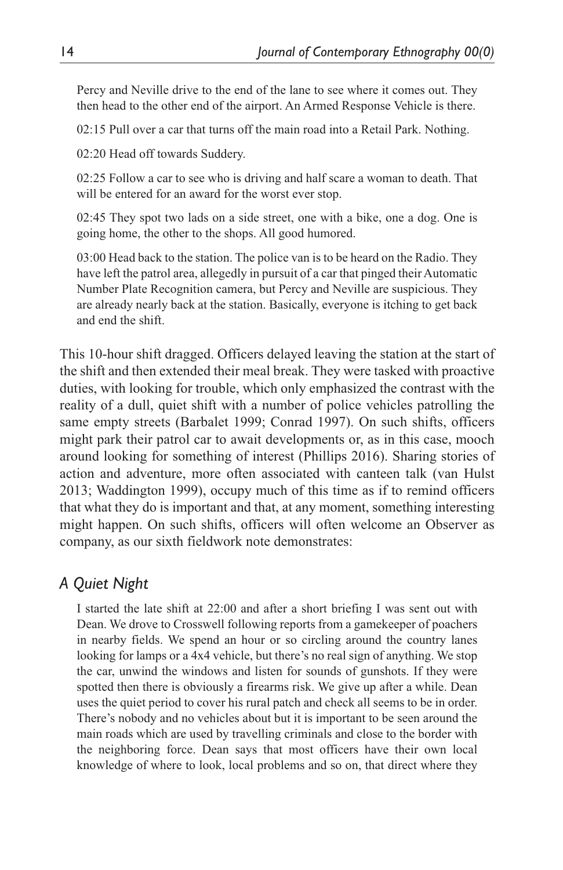Percy and Neville drive to the end of the lane to see where it comes out. They then head to the other end of the airport. An Armed Response Vehicle is there.

02:15 Pull over a car that turns off the main road into a Retail Park. Nothing.

02:20 Head off towards Suddery.

02:25 Follow a car to see who is driving and half scare a woman to death. That will be entered for an award for the worst ever stop.

02:45 They spot two lads on a side street, one with a bike, one a dog. One is going home, the other to the shops. All good humored.

03:00 Head back to the station. The police van is to be heard on the Radio. They have left the patrol area, allegedly in pursuit of a car that pinged their Automatic Number Plate Recognition camera, but Percy and Neville are suspicious. They are already nearly back at the station. Basically, everyone is itching to get back and end the shift.

This 10-hour shift dragged. Officers delayed leaving the station at the start of the shift and then extended their meal break. They were tasked with proactive duties, with looking for trouble, which only emphasized the contrast with the reality of a dull, quiet shift with a number of police vehicles patrolling the same empty streets (Barbalet 1999; Conrad 1997). On such shifts, officers might park their patrol car to await developments or, as in this case, mooch around looking for something of interest (Phillips 2016). Sharing stories of action and adventure, more often associated with canteen talk (van Hulst 2013; Waddington 1999), occupy much of this time as if to remind officers that what they do is important and that, at any moment, something interesting might happen. On such shifts, officers will often welcome an Observer as company, as our sixth fieldwork note demonstrates:

### *A Quiet Night*

I started the late shift at 22:00 and after a short briefing I was sent out with Dean. We drove to Crosswell following reports from a gamekeeper of poachers in nearby fields. We spend an hour or so circling around the country lanes looking for lamps or a 4x4 vehicle, but there's no real sign of anything. We stop the car, unwind the windows and listen for sounds of gunshots. If they were spotted then there is obviously a firearms risk. We give up after a while. Dean uses the quiet period to cover his rural patch and check all seems to be in order. There's nobody and no vehicles about but it is important to be seen around the main roads which are used by travelling criminals and close to the border with the neighboring force. Dean says that most officers have their own local knowledge of where to look, local problems and so on, that direct where they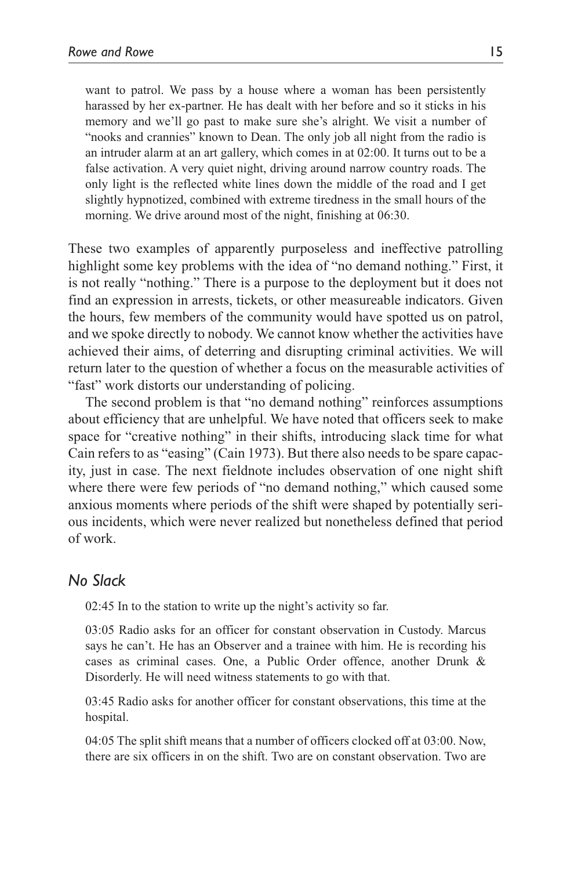want to patrol. We pass by a house where a woman has been persistently harassed by her ex-partner. He has dealt with her before and so it sticks in his memory and we'll go past to make sure she's alright. We visit a number of "nooks and crannies" known to Dean. The only job all night from the radio is an intruder alarm at an art gallery, which comes in at 02:00. It turns out to be a false activation. A very quiet night, driving around narrow country roads. The only light is the reflected white lines down the middle of the road and I get slightly hypnotized, combined with extreme tiredness in the small hours of the morning. We drive around most of the night, finishing at 06:30.

These two examples of apparently purposeless and ineffective patrolling highlight some key problems with the idea of "no demand nothing." First, it is not really "nothing." There is a purpose to the deployment but it does not find an expression in arrests, tickets, or other measureable indicators. Given the hours, few members of the community would have spotted us on patrol, and we spoke directly to nobody. We cannot know whether the activities have achieved their aims, of deterring and disrupting criminal activities. We will return later to the question of whether a focus on the measurable activities of "fast" work distorts our understanding of policing.

The second problem is that "no demand nothing" reinforces assumptions about efficiency that are unhelpful. We have noted that officers seek to make space for "creative nothing" in their shifts, introducing slack time for what Cain refers to as "easing" (Cain 1973). But there also needs to be spare capacity, just in case. The next fieldnote includes observation of one night shift where there were few periods of "no demand nothing," which caused some anxious moments where periods of the shift were shaped by potentially serious incidents, which were never realized but nonetheless defined that period of work.

#### *No Slack*

02:45 In to the station to write up the night's activity so far.

03:05 Radio asks for an officer for constant observation in Custody. Marcus says he can't. He has an Observer and a trainee with him. He is recording his cases as criminal cases. One, a Public Order offence, another Drunk & Disorderly. He will need witness statements to go with that.

03:45 Radio asks for another officer for constant observations, this time at the hospital.

04:05 The split shift means that a number of officers clocked off at 03:00. Now, there are six officers in on the shift. Two are on constant observation. Two are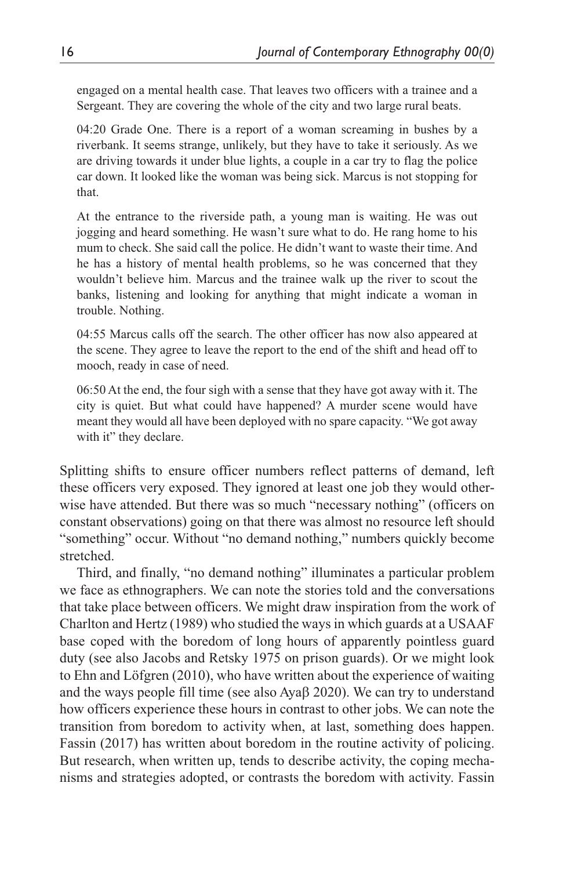engaged on a mental health case. That leaves two officers with a trainee and a Sergeant. They are covering the whole of the city and two large rural beats.

04:20 Grade One. There is a report of a woman screaming in bushes by a riverbank. It seems strange, unlikely, but they have to take it seriously. As we are driving towards it under blue lights, a couple in a car try to flag the police car down. It looked like the woman was being sick. Marcus is not stopping for that.

At the entrance to the riverside path, a young man is waiting. He was out jogging and heard something. He wasn't sure what to do. He rang home to his mum to check. She said call the police. He didn't want to waste their time. And he has a history of mental health problems, so he was concerned that they wouldn't believe him. Marcus and the trainee walk up the river to scout the banks, listening and looking for anything that might indicate a woman in trouble. Nothing.

04:55 Marcus calls off the search. The other officer has now also appeared at the scene. They agree to leave the report to the end of the shift and head off to mooch, ready in case of need.

06:50 At the end, the four sigh with a sense that they have got away with it. The city is quiet. But what could have happened? A murder scene would have meant they would all have been deployed with no spare capacity. "We got away with it" they declare.

Splitting shifts to ensure officer numbers reflect patterns of demand, left these officers very exposed. They ignored at least one job they would otherwise have attended. But there was so much "necessary nothing" (officers on constant observations) going on that there was almost no resource left should "something" occur. Without "no demand nothing," numbers quickly become stretched.

Third, and finally, "no demand nothing" illuminates a particular problem we face as ethnographers. We can note the stories told and the conversations that take place between officers. We might draw inspiration from the work of Charlton and Hertz (1989) who studied the ways in which guards at a USAAF base coped with the boredom of long hours of apparently pointless guard duty (see also Jacobs and Retsky 1975 on prison guards). Or we might look to Ehn and Löfgren (2010), who have written about the experience of waiting and the ways people fill time (see also Ayaβ 2020). We can try to understand how officers experience these hours in contrast to other jobs. We can note the transition from boredom to activity when, at last, something does happen. Fassin (2017) has written about boredom in the routine activity of policing. But research, when written up, tends to describe activity, the coping mechanisms and strategies adopted, or contrasts the boredom with activity. Fassin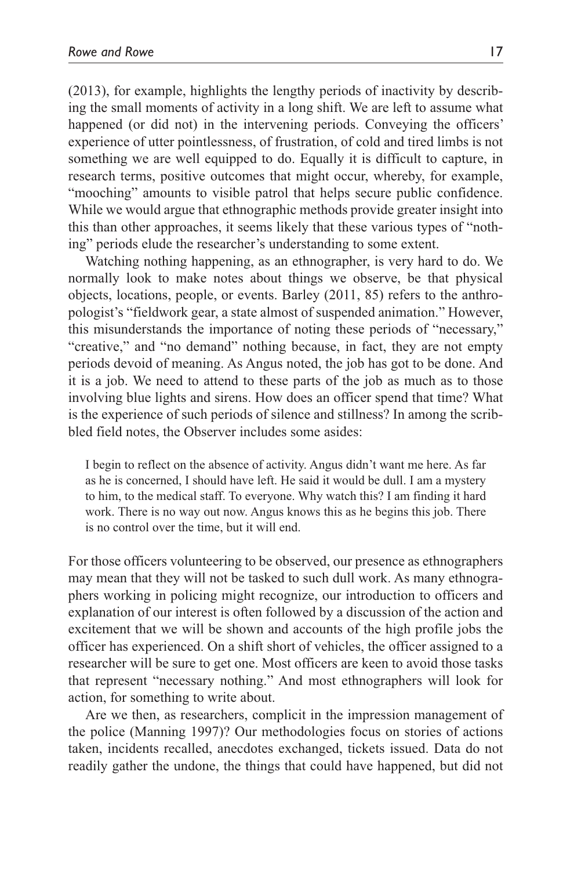(2013), for example, highlights the lengthy periods of inactivity by describing the small moments of activity in a long shift. We are left to assume what happened (or did not) in the intervening periods. Conveying the officers' experience of utter pointlessness, of frustration, of cold and tired limbs is not something we are well equipped to do. Equally it is difficult to capture, in research terms, positive outcomes that might occur, whereby, for example, "mooching" amounts to visible patrol that helps secure public confidence. While we would argue that ethnographic methods provide greater insight into this than other approaches, it seems likely that these various types of "nothing" periods elude the researcher's understanding to some extent.

Watching nothing happening, as an ethnographer, is very hard to do. We normally look to make notes about things we observe, be that physical objects, locations, people, or events. Barley (2011, 85) refers to the anthropologist's "fieldwork gear, a state almost of suspended animation." However, this misunderstands the importance of noting these periods of "necessary," "creative," and "no demand" nothing because, in fact, they are not empty periods devoid of meaning. As Angus noted, the job has got to be done. And it is a job. We need to attend to these parts of the job as much as to those involving blue lights and sirens. How does an officer spend that time? What is the experience of such periods of silence and stillness? In among the scribbled field notes, the Observer includes some asides:

I begin to reflect on the absence of activity. Angus didn't want me here. As far as he is concerned, I should have left. He said it would be dull. I am a mystery to him, to the medical staff. To everyone. Why watch this? I am finding it hard work. There is no way out now. Angus knows this as he begins this job. There is no control over the time, but it will end.

For those officers volunteering to be observed, our presence as ethnographers may mean that they will not be tasked to such dull work. As many ethnographers working in policing might recognize, our introduction to officers and explanation of our interest is often followed by a discussion of the action and excitement that we will be shown and accounts of the high profile jobs the officer has experienced. On a shift short of vehicles, the officer assigned to a researcher will be sure to get one. Most officers are keen to avoid those tasks that represent "necessary nothing." And most ethnographers will look for action, for something to write about.

Are we then, as researchers, complicit in the impression management of the police (Manning 1997)? Our methodologies focus on stories of actions taken, incidents recalled, anecdotes exchanged, tickets issued. Data do not readily gather the undone, the things that could have happened, but did not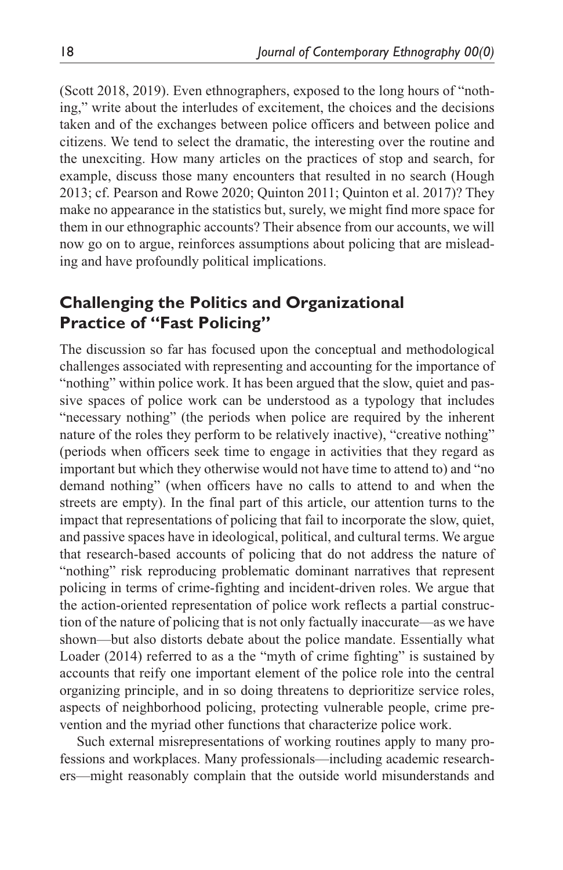(Scott 2018, 2019). Even ethnographers, exposed to the long hours of "nothing," write about the interludes of excitement, the choices and the decisions taken and of the exchanges between police officers and between police and citizens. We tend to select the dramatic, the interesting over the routine and the unexciting. How many articles on the practices of stop and search, for example, discuss those many encounters that resulted in no search (Hough 2013; cf. Pearson and Rowe 2020; Quinton 2011; Quinton et al. 2017)? They make no appearance in the statistics but, surely, we might find more space for them in our ethnographic accounts? Their absence from our accounts, we will now go on to argue, reinforces assumptions about policing that are misleading and have profoundly political implications.

# **Challenging the Politics and Organizational Practice of "Fast Policing"**

The discussion so far has focused upon the conceptual and methodological challenges associated with representing and accounting for the importance of "nothing" within police work. It has been argued that the slow, quiet and passive spaces of police work can be understood as a typology that includes "necessary nothing" (the periods when police are required by the inherent nature of the roles they perform to be relatively inactive), "creative nothing" (periods when officers seek time to engage in activities that they regard as important but which they otherwise would not have time to attend to) and "no demand nothing" (when officers have no calls to attend to and when the streets are empty). In the final part of this article, our attention turns to the impact that representations of policing that fail to incorporate the slow, quiet, and passive spaces have in ideological, political, and cultural terms. We argue that research-based accounts of policing that do not address the nature of "nothing" risk reproducing problematic dominant narratives that represent policing in terms of crime-fighting and incident-driven roles. We argue that the action-oriented representation of police work reflects a partial construction of the nature of policing that is not only factually inaccurate—as we have shown—but also distorts debate about the police mandate. Essentially what Loader (2014) referred to as a the "myth of crime fighting" is sustained by accounts that reify one important element of the police role into the central organizing principle, and in so doing threatens to deprioritize service roles, aspects of neighborhood policing, protecting vulnerable people, crime prevention and the myriad other functions that characterize police work.

Such external misrepresentations of working routines apply to many professions and workplaces. Many professionals—including academic researchers—might reasonably complain that the outside world misunderstands and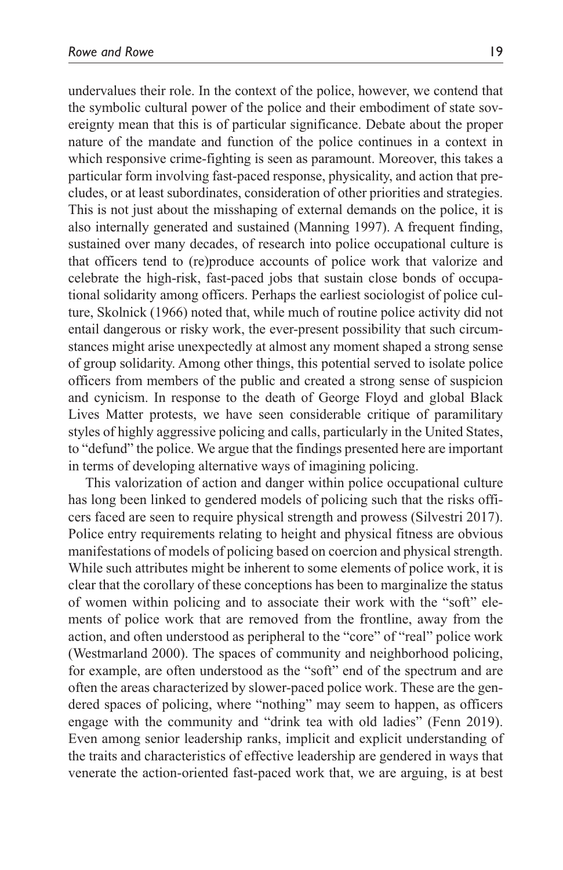undervalues their role. In the context of the police, however, we contend that the symbolic cultural power of the police and their embodiment of state sovereignty mean that this is of particular significance. Debate about the proper nature of the mandate and function of the police continues in a context in which responsive crime-fighting is seen as paramount. Moreover, this takes a particular form involving fast-paced response, physicality, and action that precludes, or at least subordinates, consideration of other priorities and strategies. This is not just about the misshaping of external demands on the police, it is also internally generated and sustained (Manning 1997). A frequent finding, sustained over many decades, of research into police occupational culture is that officers tend to (re)produce accounts of police work that valorize and celebrate the high-risk, fast-paced jobs that sustain close bonds of occupational solidarity among officers. Perhaps the earliest sociologist of police culture, Skolnick (1966) noted that, while much of routine police activity did not entail dangerous or risky work, the ever-present possibility that such circumstances might arise unexpectedly at almost any moment shaped a strong sense of group solidarity. Among other things, this potential served to isolate police officers from members of the public and created a strong sense of suspicion and cynicism. In response to the death of George Floyd and global Black Lives Matter protests, we have seen considerable critique of paramilitary styles of highly aggressive policing and calls, particularly in the United States, to "defund" the police. We argue that the findings presented here are important in terms of developing alternative ways of imagining policing.

This valorization of action and danger within police occupational culture has long been linked to gendered models of policing such that the risks officers faced are seen to require physical strength and prowess (Silvestri 2017). Police entry requirements relating to height and physical fitness are obvious manifestations of models of policing based on coercion and physical strength. While such attributes might be inherent to some elements of police work, it is clear that the corollary of these conceptions has been to marginalize the status of women within policing and to associate their work with the "soft" elements of police work that are removed from the frontline, away from the action, and often understood as peripheral to the "core" of "real" police work (Westmarland 2000). The spaces of community and neighborhood policing, for example, are often understood as the "soft" end of the spectrum and are often the areas characterized by slower-paced police work. These are the gendered spaces of policing, where "nothing" may seem to happen, as officers engage with the community and "drink tea with old ladies" (Fenn 2019). Even among senior leadership ranks, implicit and explicit understanding of the traits and characteristics of effective leadership are gendered in ways that venerate the action-oriented fast-paced work that, we are arguing, is at best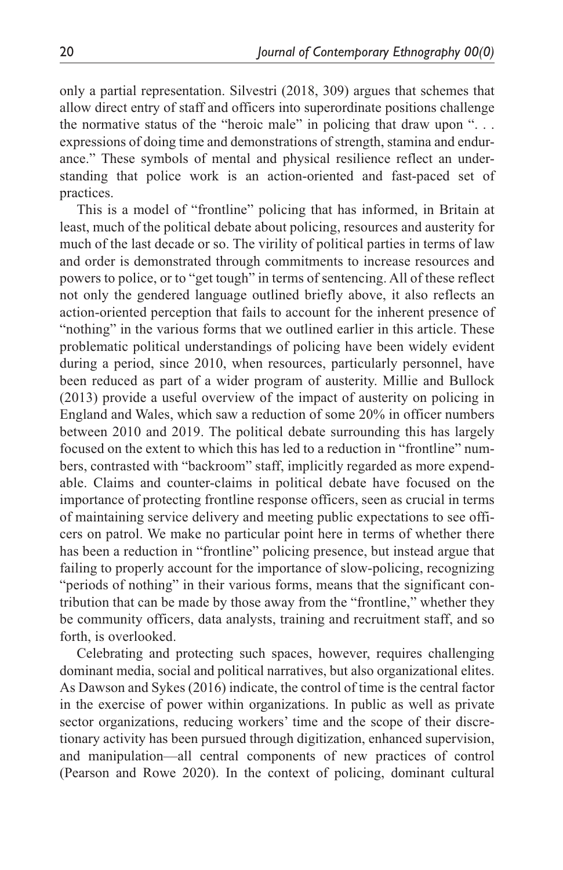only a partial representation. Silvestri (2018, 309) argues that schemes that allow direct entry of staff and officers into superordinate positions challenge the normative status of the "heroic male" in policing that draw upon ". . . expressions of doing time and demonstrations of strength, stamina and endurance." These symbols of mental and physical resilience reflect an understanding that police work is an action-oriented and fast-paced set of practices.

This is a model of "frontline" policing that has informed, in Britain at least, much of the political debate about policing, resources and austerity for much of the last decade or so. The virility of political parties in terms of law and order is demonstrated through commitments to increase resources and powers to police, or to "get tough" in terms of sentencing. All of these reflect not only the gendered language outlined briefly above, it also reflects an action-oriented perception that fails to account for the inherent presence of "nothing" in the various forms that we outlined earlier in this article. These problematic political understandings of policing have been widely evident during a period, since 2010, when resources, particularly personnel, have been reduced as part of a wider program of austerity. Millie and Bullock (2013) provide a useful overview of the impact of austerity on policing in England and Wales, which saw a reduction of some 20% in officer numbers between 2010 and 2019. The political debate surrounding this has largely focused on the extent to which this has led to a reduction in "frontline" numbers, contrasted with "backroom" staff, implicitly regarded as more expendable. Claims and counter-claims in political debate have focused on the importance of protecting frontline response officers, seen as crucial in terms of maintaining service delivery and meeting public expectations to see officers on patrol. We make no particular point here in terms of whether there has been a reduction in "frontline" policing presence, but instead argue that failing to properly account for the importance of slow-policing, recognizing "periods of nothing" in their various forms, means that the significant contribution that can be made by those away from the "frontline," whether they be community officers, data analysts, training and recruitment staff, and so forth, is overlooked.

Celebrating and protecting such spaces, however, requires challenging dominant media, social and political narratives, but also organizational elites. As Dawson and Sykes (2016) indicate, the control of time is the central factor in the exercise of power within organizations. In public as well as private sector organizations, reducing workers' time and the scope of their discretionary activity has been pursued through digitization, enhanced supervision, and manipulation—all central components of new practices of control (Pearson and Rowe 2020). In the context of policing, dominant cultural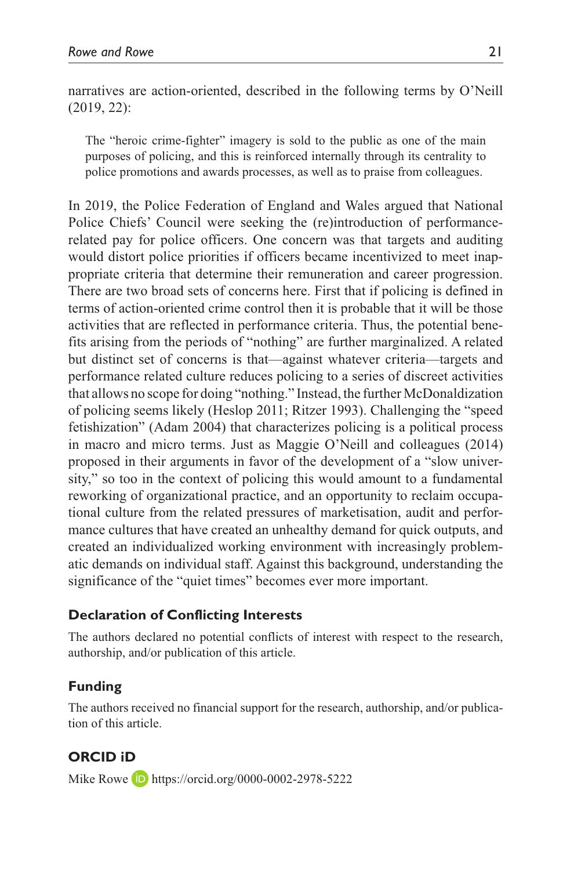narratives are action-oriented, described in the following terms by O'Neill (2019, 22):

The "heroic crime-fighter" imagery is sold to the public as one of the main purposes of policing, and this is reinforced internally through its centrality to police promotions and awards processes, as well as to praise from colleagues.

In 2019, the Police Federation of England and Wales argued that National Police Chiefs' Council were seeking the (re)introduction of performancerelated pay for police officers. One concern was that targets and auditing would distort police priorities if officers became incentivized to meet inappropriate criteria that determine their remuneration and career progression. There are two broad sets of concerns here. First that if policing is defined in terms of action-oriented crime control then it is probable that it will be those activities that are reflected in performance criteria. Thus, the potential benefits arising from the periods of "nothing" are further marginalized. A related but distinct set of concerns is that—against whatever criteria—targets and performance related culture reduces policing to a series of discreet activities that allows no scope for doing "nothing." Instead, the further McDonaldization of policing seems likely (Heslop 2011; Ritzer 1993). Challenging the "speed fetishization" (Adam 2004) that characterizes policing is a political process in macro and micro terms. Just as Maggie O'Neill and colleagues (2014) proposed in their arguments in favor of the development of a "slow university," so too in the context of policing this would amount to a fundamental reworking of organizational practice, and an opportunity to reclaim occupational culture from the related pressures of marketisation, audit and performance cultures that have created an unhealthy demand for quick outputs, and created an individualized working environment with increasingly problematic demands on individual staff. Against this background, understanding the significance of the "quiet times" becomes ever more important.

### **Declaration of Conflicting Interests**

The authors declared no potential conflicts of interest with respect to the research, authorship, and/or publication of this article.

### **Funding**

The authors received no financial support for the research, authorship, and/or publication of this article.

**ORCID iD** Mike Rowe **D** <https://orcid.org/0000-0002-2978-5222>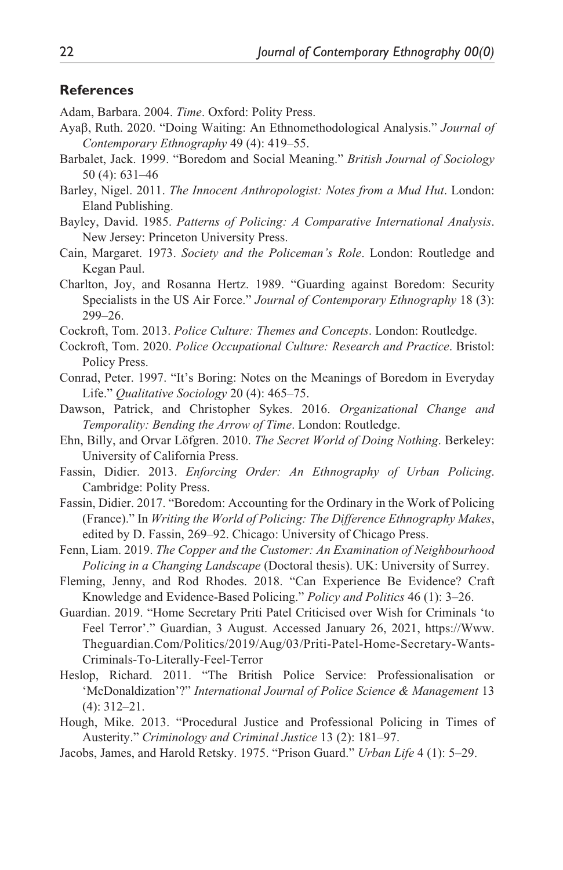#### **References**

Adam, Barbara. 2004. *Time*. Oxford: Polity Press.

- Ayaβ, Ruth. 2020. "Doing Waiting: An Ethnomethodological Analysis." *Journal of Contemporary Ethnography* 49 (4): 419–55.
- Barbalet, Jack. 1999. "Boredom and Social Meaning." *British Journal of Sociology* 50 (4): 631–46
- Barley, Nigel. 2011. *The Innocent Anthropologist: Notes from a Mud Hut*. London: Eland Publishing.
- Bayley, David. 1985. *Patterns of Policing: A Comparative International Analysis*. New Jersey: Princeton University Press.
- Cain, Margaret. 1973. *Society and the Policeman's Role*. London: Routledge and Kegan Paul.
- Charlton, Joy, and Rosanna Hertz. 1989. "Guarding against Boredom: Security Specialists in the US Air Force." *Journal of Contemporary Ethnography* 18 (3): 299–26.
- Cockroft, Tom. 2013. *Police Culture: Themes and Concepts*. London: Routledge.
- Cockroft, Tom. 2020. *Police Occupational Culture: Research and Practice*. Bristol: Policy Press.
- Conrad, Peter. 1997. "It's Boring: Notes on the Meanings of Boredom in Everyday Life." *Qualitative Sociology* 20 (4): 465–75.
- Dawson, Patrick, and Christopher Sykes. 2016. *Organizational Change and Temporality: Bending the Arrow of Time*. London: Routledge.
- Ehn, Billy, and Orvar Löfgren. 2010. *The Secret World of Doing Nothing*. Berkeley: University of California Press.
- Fassin, Didier. 2013. *Enforcing Order: An Ethnography of Urban Policing*. Cambridge: Polity Press.
- Fassin, Didier. 2017. "Boredom: Accounting for the Ordinary in the Work of Policing (France)." In *Writing the World of Policing: The Difference Ethnography Makes*, edited by D. Fassin, 269–92. Chicago: University of Chicago Press.
- Fenn, Liam. 2019. *The Copper and the Customer: An Examination of Neighbourhood Policing in a Changing Landscape* (Doctoral thesis). UK: University of Surrey.
- Fleming, Jenny, and Rod Rhodes. 2018. "Can Experience Be Evidence? Craft Knowledge and Evidence-Based Policing." *Policy and Politics* 46 (1): 3–26.
- Guardian. 2019. "Home Secretary Priti Patel Criticised over Wish for Criminals 'to Feel Terror'." Guardian, 3 August. Accessed January 26, 2021, [https://Www.](https://Www.Theguardian.Com/Politics/2019/Aug/03/Priti-Patel-Home-Secretary-Wants-Criminals-To-Literally-Feel-Terror) [Theguardian.Com/Politics/2019/Aug/03/Priti-Patel-Home-Secretary-Wants-](https://Www.Theguardian.Com/Politics/2019/Aug/03/Priti-Patel-Home-Secretary-Wants-Criminals-To-Literally-Feel-Terror)[Criminals-To-Literally-Feel-Terror](https://Www.Theguardian.Com/Politics/2019/Aug/03/Priti-Patel-Home-Secretary-Wants-Criminals-To-Literally-Feel-Terror)
- Heslop, Richard. 2011. "The British Police Service: Professionalisation or 'McDonaldization'?" *International Journal of Police Science & Management* 13 (4): 312–21.
- Hough, Mike. 2013. "Procedural Justice and Professional Policing in Times of Austerity." *Criminology and Criminal Justice* 13 (2): 181–97.
- Jacobs, James, and Harold Retsky. 1975. "Prison Guard." *Urban Life* 4 (1): 5–29.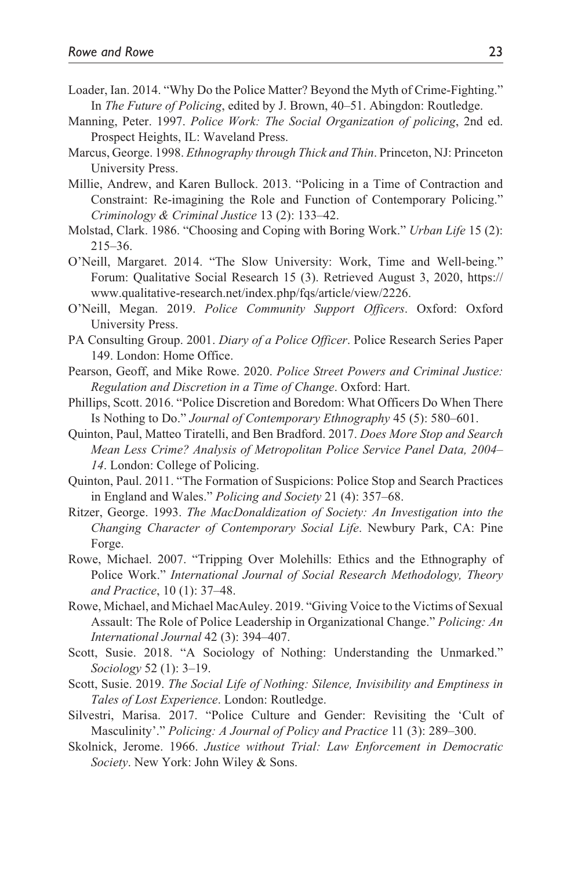- Loader, Ian. 2014. "Why Do the Police Matter? Beyond the Myth of Crime-Fighting." In *The Future of Policing*, edited by J. Brown, 40–51. Abingdon: Routledge.
- Manning, Peter. 1997. *Police Work: The Social Organization of policing*, 2nd ed. Prospect Heights, IL: Waveland Press.
- Marcus, George. 1998. *Ethnography through Thick and Thin*. Princeton, NJ: Princeton University Press.
- Millie, Andrew, and Karen Bullock. 2013. "Policing in a Time of Contraction and Constraint: Re-imagining the Role and Function of Contemporary Policing." *Criminology & Criminal Justice* 13 (2): 133–42.
- Molstad, Clark. 1986. "Choosing and Coping with Boring Work." *Urban Life* 15 (2): 215–36.
- O'Neill, Margaret. 2014. "The Slow University: Work, Time and Well-being." Forum: Qualitative Social Research 15 (3). Retrieved August 3, 2020, [https://](https://www.qualitative-research.net/index.php/fqs/article/view/2226) [www.qualitative-research.net/index.php/fqs/article/view/2226](https://www.qualitative-research.net/index.php/fqs/article/view/2226).
- O'Neill, Megan. 2019. *Police Community Support Officers*. Oxford: Oxford University Press.
- PA Consulting Group. 2001. *Diary of a Police Officer*. Police Research Series Paper 149. London: Home Office.
- Pearson, Geoff, and Mike Rowe. 2020. *Police Street Powers and Criminal Justice: Regulation and Discretion in a Time of Change*. Oxford: Hart.
- Phillips, Scott. 2016. "Police Discretion and Boredom: What Officers Do When There Is Nothing to Do." *Journal of Contemporary Ethnography* 45 (5): 580–601.
- Quinton, Paul, Matteo Tiratelli, and Ben Bradford. 2017. *Does More Stop and Search Mean Less Crime? Analysis of Metropolitan Police Service Panel Data, 2004– 14*. London: College of Policing.
- Quinton, Paul. 2011. "The Formation of Suspicions: Police Stop and Search Practices in England and Wales." *Policing and Society* 21 (4): 357–68.
- Ritzer, George. 1993. *The MacDonaldization of Society: An Investigation into the Changing Character of Contemporary Social Life*. Newbury Park, CA: Pine Forge.
- Rowe, Michael. 2007. "Tripping Over Molehills: Ethics and the Ethnography of Police Work." *International Journal of Social Research Methodology, Theory and Practice*, 10 (1): 37–48.
- Rowe, Michael, and Michael MacAuley. 2019. "Giving Voice to the Victims of Sexual Assault: The Role of Police Leadership in Organizational Change." *Policing: An International Journal* 42 (3): 394–407.
- Scott, Susie. 2018. "A Sociology of Nothing: Understanding the Unmarked." *Sociology* 52 (1): 3–19.
- Scott, Susie. 2019. *The Social Life of Nothing: Silence, Invisibility and Emptiness in Tales of Lost Experience*. London: Routledge.
- Silvestri, Marisa. 2017. "Police Culture and Gender: Revisiting the 'Cult of Masculinity'." *Policing: A Journal of Policy and Practice* 11 (3): 289–300.
- Skolnick, Jerome. 1966. *Justice without Trial: Law Enforcement in Democratic Society*. New York: John Wiley & Sons.